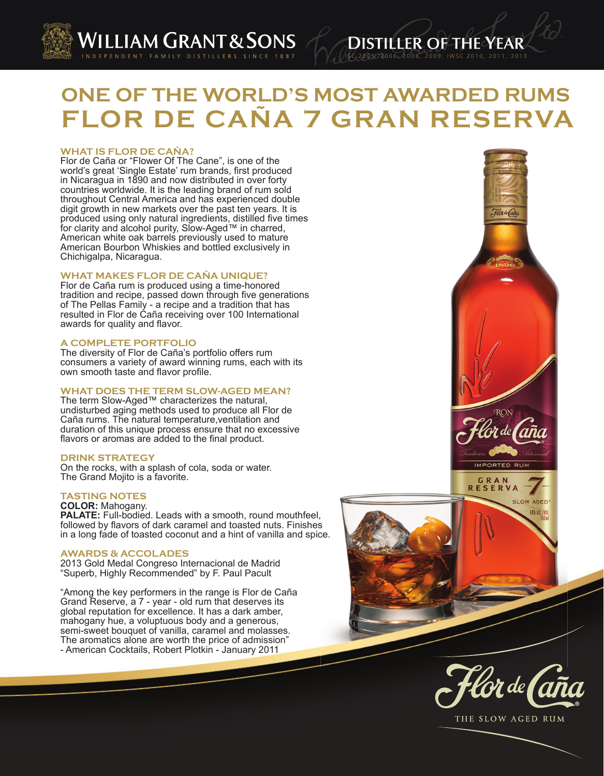

**ONE OF THE WORLD'S MOST AWARDED RUMS FLOR DE CAÑA 7 GRAN RESERVA**

### **WHAT IS FLOR DE CAÑA?**

Flor de Caña or "Flower Of The Cane", is one of the world's great 'Single Estate' rum brands, first produced in Nicaragua in 1890 and now distributed in over forty countries worldwide. It is the leading brand of rum sold throughout Central America and has experienced double digit growth in new markets over the past ten years. It is produced using only natural ingredients, distilled five times for clarity and alcohol purity, Slow-Aged™ in charred, American white oak barrels previously used to mature American Bourbon Whiskies and bottled exclusively in Chichigalpa, Nicaragua.

# **WHAT MAKES FLOR DE CAÑA UNIQUE?**

Flor de Caña rum is produced using a time-honored tradition and recipe, passed down through five generations of The Pellas Family - a recipe and a tradition that has resulted in Flor de Caña receiving over 100 International awards for quality and flavor.

### **A COMPLETE PORTFOLIO**

The diversity of Flor de Caña's portfolio offers rum consumers a variety of award winning rums, each with its own smooth taste and flavor profile.

## **WHAT DOES THE TERM SLOW-AGED MEAN?**

The term Slow-Aged™ characterizes the natural, undisturbed aging methods used to produce all Flor de Caña rums. The natural temperature,ventilation and duration of this unique process ensure that no excessive flavors or aromas are added to the final product.

# **DRINK STRATEGY**

On the rocks, with a splash of cola, soda or water. The Grand Mojito is a favorite.

### **TASTING NOTES**

**COLOR:** Mahogany. PALATE: Full-bodied. Leads with a smooth, round mouthfeel, followed by flavors of dark caramel and toasted nuts. Finishes in a long fade of toasted coconut and a hint of vanilla and spice.

#### **AWARDS & ACCOLADES**

2013 Gold Medal Congreso Internacional de Madrid "Superb, Highly Recommended" by F. Paul Pacult

"Among the key performers in the range is Flor de Caña Grand Reserve, a 7 - year - old rum that deserves its global reputation for excellence. It has a dark amber, mahogany hue, a voluptuous body and a generous, semi-sweet bouquet of vanilla, caramel and molasses. The aromatics alone are worth the price of admission" - American Cocktails, Robert Plotkin - January 2011



ISC 2005, 2006, 2008, 2009; IWSC 2010, 2011, 201 3

DISTILLER OF THE YEAR



THE SLOW AGED RUM